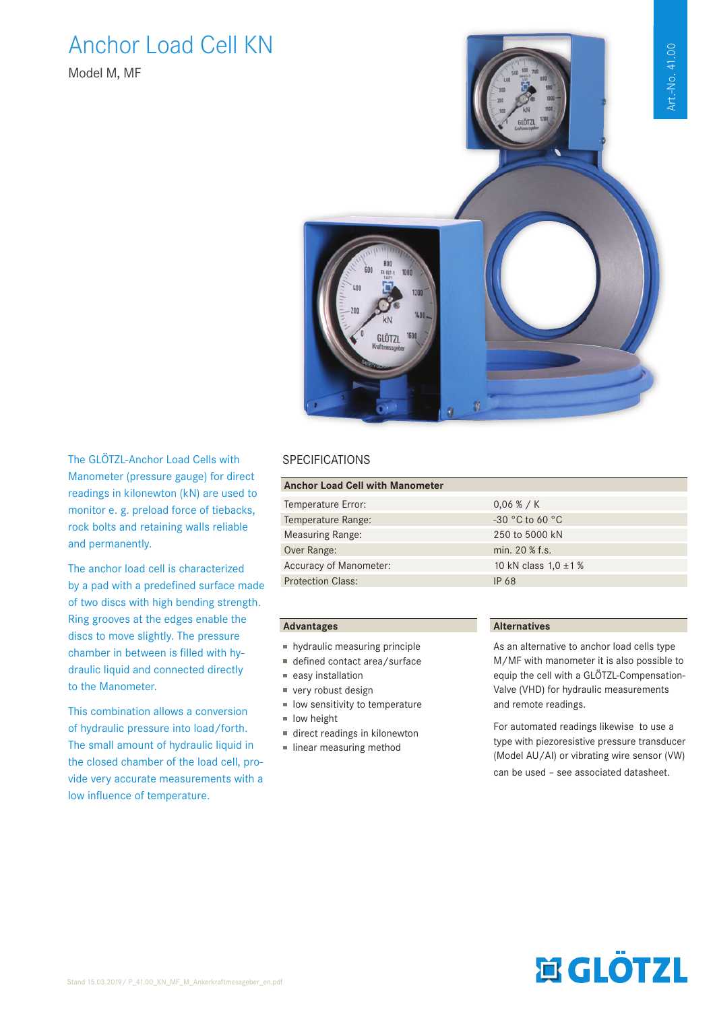## Art.-No. 41.00 Art.-No. 41.00

### Anchor Load Cell KN

Model M, MF



The GLÖTZL-Anchor Load Cells with Manometer (pressure gauge) for direct readings in kilonewton (kN) are used to monitor e. g. preload force of tiebacks, rock bolts and retaining walls reliable and permanently.

The anchor load cell is characterized by a pad with a predefined surface made of two discs with high bending strength. Ring grooves at the edges enable the discs to move slightly. The pressure chamber in between is filled with hydraulic liquid and connected directly to the Manometer.

This combination allows a conversion of hydraulic pressure into load/forth. The small amount of hydraulic liquid in the closed chamber of the load cell, provide very accurate measurements with a low influence of temperature.

#### SPECIFICATIONS

| <b>Anchor Load Cell with Manometer</b> |                           |  |  |  |  |  |  |
|----------------------------------------|---------------------------|--|--|--|--|--|--|
|                                        |                           |  |  |  |  |  |  |
| Temperature Error:                     | 0.06 % / K                |  |  |  |  |  |  |
| Temperature Range:                     | $-30$ °C to 60 °C         |  |  |  |  |  |  |
| <b>Measuring Range:</b>                | 250 to 5000 kN            |  |  |  |  |  |  |
| Over Range:                            | min. 20 % f.s.            |  |  |  |  |  |  |
| Accuracy of Manometer:                 | 10 kN class $1,0 \pm 1$ % |  |  |  |  |  |  |
| <b>Protection Class:</b>               | IP 68                     |  |  |  |  |  |  |
|                                        |                           |  |  |  |  |  |  |

#### **Advantages**

- hydraulic measuring principle
- $\blacksquare$  defined contact area/surface
- $e$ asy installation
- very robust design
- $\blacksquare$  low sensitivity to temperature  $\blacksquare$  low height
- direct readings in kilonewton
- $\blacksquare$  linear measuring method

#### **Alternatives**

As an alternative to anchor load cells type M/MF with manometer it is also possible to equip the cell with a GLÖTZL-Compensation-Valve (VHD) for hydraulic measurements and remote readings.

For automated readings likewise to use a type with piezoresistive pressure transducer (Model AU/AI) or vibrating wire sensor (VW) can be used – see associated datasheet.

# **ELÖTZL**